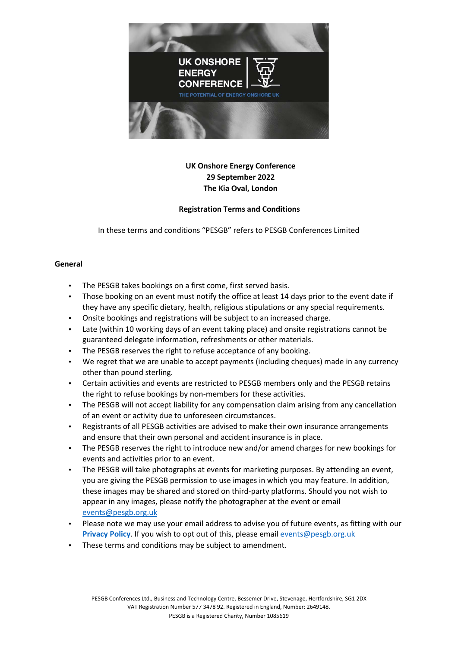

# **UK Onshore Energy Conference 29 September 2022 The Kia Oval, London**

## **Registration Terms and Conditions**

In these terms and conditions "PESGB" refers to PESGB Conferences Limited

#### **General**

- The PESGB takes bookings on a first come, first served basis.
- Those booking on an event must notify the office at least 14 days prior to the event date if they have any specific dietary, health, religious stipulations or any special requirements.
- Onsite bookings and registrations will be subject to an increased charge.
- Late (within 10 working days of an event taking place) and onsite registrations cannot be guaranteed delegate information, refreshments or other materials.
- The PESGB reserves the right to refuse acceptance of any booking.
- We regret that we are unable to accept payments (including cheques) made in any currency other than pound sterling.
- Certain activities and events are restricted to PESGB members only and the PESGB retains the right to refuse bookings by non-members for these activities.
- The PESGB will not accept liability for any compensation claim arising from any cancellation of an event or activity due to unforeseen circumstances.
- Registrants of all PESGB activities are advised to make their own insurance arrangements and ensure that their own personal and accident insurance is in place.
- The PESGB reserves the right to introduce new and/or amend charges for new bookings for events and activities prior to an event.
- The PESGB will take photographs at events for marketing purposes. By attending an event, you are giving the PESGB permission to use images in which you may feature. In addition, these images may be shared and stored on third-party platforms. Should you not wish to appear in any images, please notify the photographer at the event or email [events@pesgb.org.uk](mailto:events@pesgb.org.uk)
- Please note we may use your email address to advise you of future events, as fitting with our **[Privacy Policy](https://www.pesgb.org.uk/wp-content/uploads/2021/04/PESGB-Privacy-Policy.pdf)**. If you wish to opt out of this, please emai[l events@pesgb.org.uk](mailto:events@pesgb.org.uk)
- These terms and conditions may be subject to amendment.